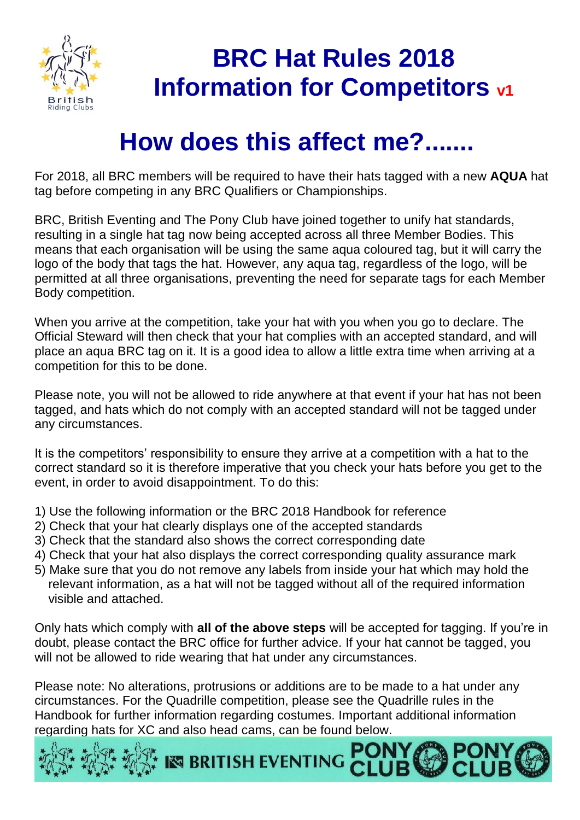

## **BRC Hat Rules 2018 Information for Competitors v1**

## **How does this affect me?...**

For 2018, all BRC members will be required to have their hats tagged with a new **AQUA** hat tag before competing in any BRC Qualifiers or Championships.

BRC, British Eventing and The Pony Club have joined together to unify hat standards, resulting in a single hat tag now being accepted across all three Member Bodies. This means that each organisation will be using the same aqua coloured tag, but it will carry the logo of the body that tags the hat. However, any aqua tag, regardless of the logo, will be permitted at all three organisations, preventing the need for separate tags for each Member Body competition.

When you arrive at the competition, take your hat with you when you go to declare. The Official Steward will then check that your hat complies with an accepted standard, and will place an aqua BRC tag on it. It is a good idea to allow a little extra time when arriving at a competition for this to be done.

Please note, you will not be allowed to ride anywhere at that event if your hat has not been tagged, and hats which do not comply with an accepted standard will not be tagged under any circumstances.

It is the competitors' responsibility to ensure they arrive at a competition with a hat to the correct standard so it is therefore imperative that you check your hats before you get to the event, in order to avoid disappointment. To do this:

- 1) Use the following information or the BRC 2018 Handbook for reference
- 2) Check that your hat clearly displays one of the accepted standards
- 3) Check that the standard also shows the correct corresponding date
- 4) Check that your hat also displays the correct corresponding quality assurance mark
- 5) Make sure that you do not remove any labels from inside your hat which may hold the relevant information, as a hat will not be tagged without all of the required information visible and attached.

Only hats which comply with **all of the above steps** will be accepted for tagging. If you're in doubt, please contact the BRC office for further advice. If your hat cannot be tagged, you will not be allowed to ride wearing that hat under any circumstances.

Please note: No alterations, protrusions or additions are to be made to a hat under any circumstances. For the Quadrille competition, please see the Quadrille rules in the Handbook for further information regarding costumes. Important additional information regarding hats for XC and also head cams, can be found below.